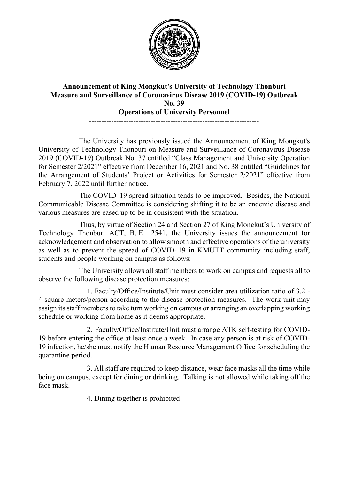

## **Announcement of King Mongkut's University of Technology Thonburi Measure and Surveillance of Coronavirus Disease 2019 (COVID-19) Outbreak No. 39 Operations of University Personnel** ---------------------------------------------------------------------

The University has previously issued the Announcement of King Mongkut's University of Technology Thonburi on Measure and Surveillance of Coronavirus Disease 2019 (COVID-19) Outbreak No. 37 entitled "Class Management and University Operation for Semester 2/2021" effective from December 16, 2021 and No. 38 entitled "Guidelines for the Arrangement of Students' Project or Activities for Semester 2/2021" effective from February 7, 2022 until further notice.

The COVID- 19 spread situation tends to be improved. Besides, the National Communicable Disease Committee is considering shifting it to be an endemic disease and various measures are eased up to be in consistent with the situation.

Thus, by virtue of Section 24 and Section 27 of King Mongkut's University of Technology Thonburi ACT, B. E. 2541, the University issues the announcement for acknowledgement and observation to allow smooth and effective operations of the university as well as to prevent the spread of COVID- 19 in KMUTT community including staff, students and people working on campus as follows:

The University allows all staff members to work on campus and requests all to observe the following disease protection measures:

1. Faculty/Office/Institute/Unit must consider area utilization ratio of 3.2 - 4 square meters/person according to the disease protection measures. The work unit may assign its staff members to take turn working on campus or arranging an overlapping working schedule or working from home as it deems appropriate.

2. Faculty/Office/Institute/Unit must arrange ATK self-testing for COVID-19 before entering the office at least once a week. In case any person is at risk of COVID-19 infection, he/she must notify the Human Resource Management Office for scheduling the quarantine period.

3. All staff are required to keep distance, wear face masks all the time while being on campus, except for dining or drinking. Talking is not allowed while taking off the face mask.

4. Dining together is prohibited